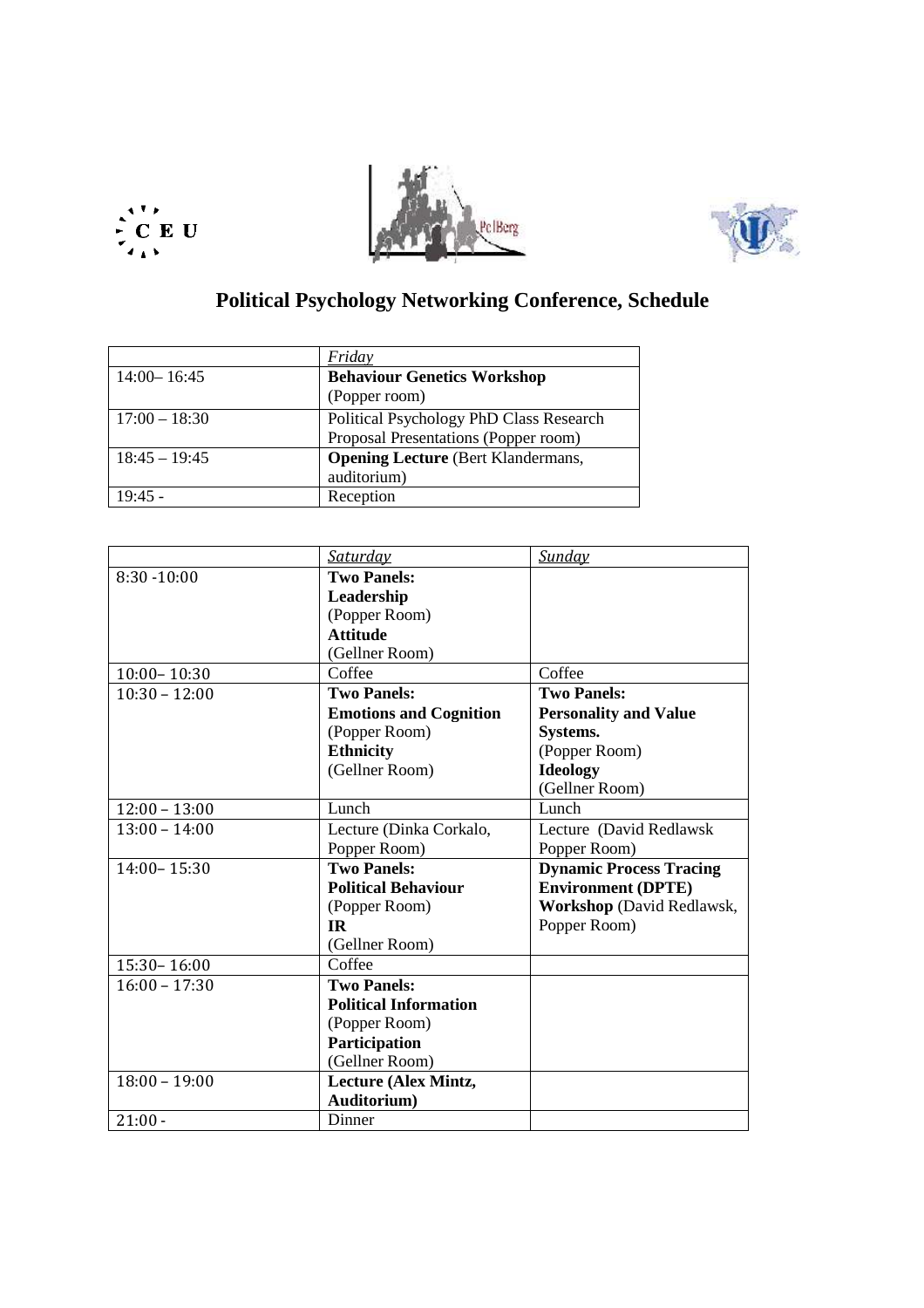





# **Political Psychology Networking Conference, Schedule**

|                 | Friday                                    |  |
|-----------------|-------------------------------------------|--|
| $14:00 - 16:45$ | <b>Behaviour Genetics Workshop</b>        |  |
|                 | (Popper room)                             |  |
| $17:00 - 18:30$ | Political Psychology PhD Class Research   |  |
|                 | Proposal Presentations (Popper room)      |  |
| $18:45 - 19:45$ | <b>Opening Lecture</b> (Bert Klandermans, |  |
|                 | auditorium)                               |  |
| $19:45 -$       | Reception                                 |  |

|                 | Saturday                      | Sunday                         |
|-----------------|-------------------------------|--------------------------------|
| $8:30 - 10:00$  | <b>Two Panels:</b>            |                                |
|                 | Leadership                    |                                |
|                 | (Popper Room)                 |                                |
|                 | <b>Attitude</b>               |                                |
|                 | (Gellner Room)                |                                |
| $10:00 - 10:30$ | Coffee                        | Coffee                         |
| $10:30 - 12:00$ | <b>Two Panels:</b>            | <b>Two Panels:</b>             |
|                 | <b>Emotions and Cognition</b> | <b>Personality and Value</b>   |
|                 | (Popper Room)                 | Systems.                       |
|                 | <b>Ethnicity</b>              | (Popper Room)                  |
|                 | (Gellner Room)                | <b>Ideology</b>                |
|                 |                               | (Gellner Room)                 |
| $12:00 - 13:00$ | Lunch                         | Lunch                          |
| $13:00 - 14:00$ | Lecture (Dinka Corkalo,       | Lecture (David Redlawsk        |
|                 | Popper Room)                  | Popper Room)                   |
| $14:00 - 15:30$ | <b>Two Panels:</b>            | <b>Dynamic Process Tracing</b> |
|                 | <b>Political Behaviour</b>    | <b>Environment (DPTE)</b>      |
|                 | (Popper Room)                 | Workshop (David Redlawsk,      |
|                 | <b>IR</b>                     | Popper Room)                   |
|                 | (Gellner Room)                |                                |
| 15:30-16:00     | Coffee                        |                                |
| $16:00 - 17:30$ | <b>Two Panels:</b>            |                                |
|                 | <b>Political Information</b>  |                                |
|                 | (Popper Room)                 |                                |
|                 | Participation                 |                                |
|                 | (Gellner Room)                |                                |
| $18:00 - 19:00$ | Lecture (Alex Mintz,          |                                |
|                 | Auditorium)                   |                                |
| $21:00 -$       | Dinner                        |                                |
|                 |                               |                                |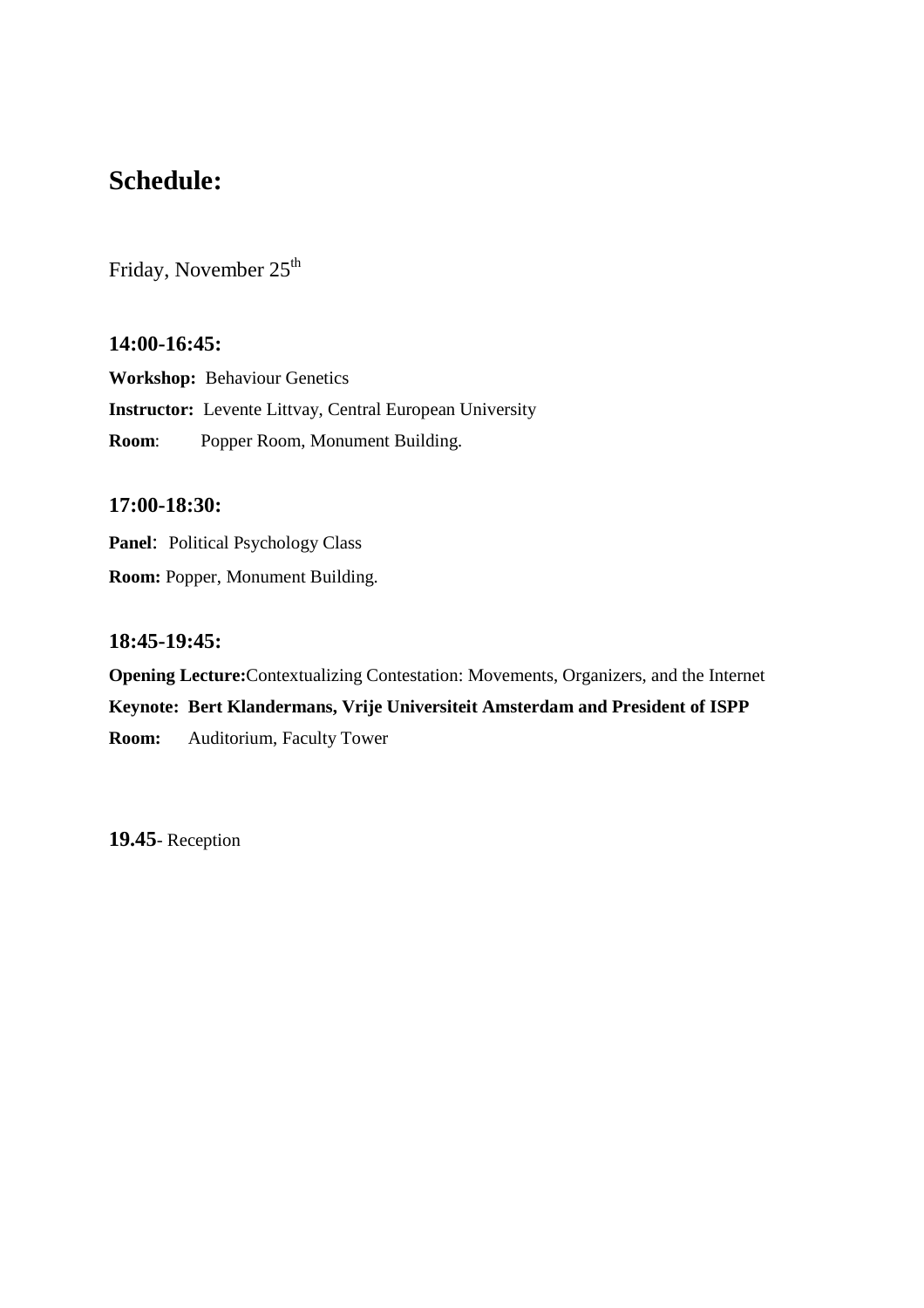# **Schedule:**

Friday, November 25<sup>th</sup>

# **14:00-16:45:**

**Workshop:** Behaviour Genetics **Instructor:** Levente Littvay, Central European University **Room**: Popper Room, Monument Building.

# **17:00-18:30:**

**Panel**: Political Psychology Class **Room:** Popper, Monument Building.

# **18:45-19:45:**

**Opening Lecture:**Contextualizing Contestation: Movements, Organizers, and the Internet **Keynote: Bert Klandermans, Vrije Universiteit Amsterdam and President of ISPP Room:** Auditorium, Faculty Tower

**19.45**- Reception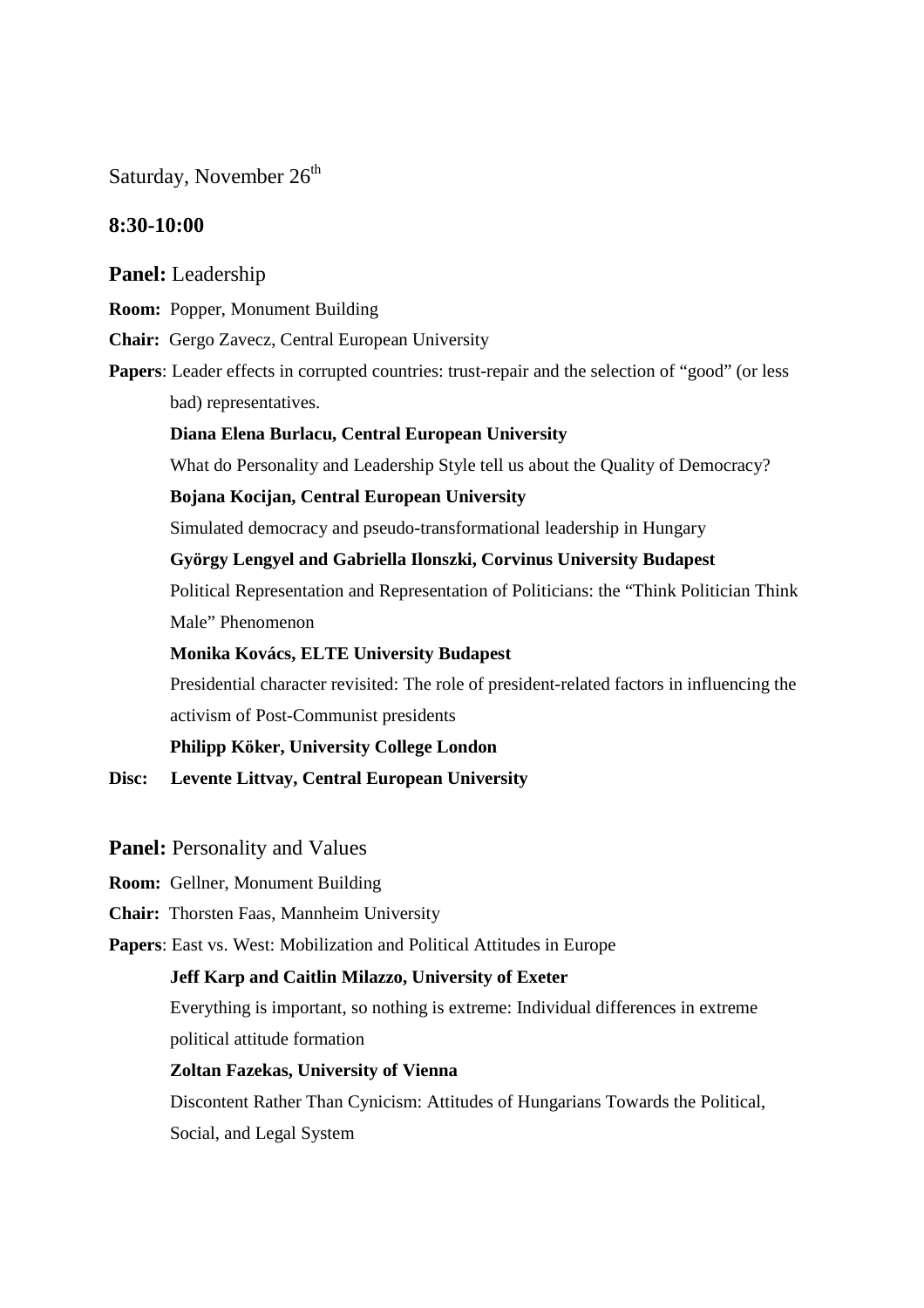Saturday, November  $26<sup>th</sup>$ 

# **8:30-10:00**

# **Panel:** Leadership

**Room:** Popper, Monument Building

- **Chair:** Gergo Zavecz, Central European University
- **Papers**: Leader effects in corrupted countries: trust-repair and the selection of "good" (or less bad) representatives.

#### **Diana Elena Burlacu, Central European University**

What do Personality and Leadership Style tell us about the Quality of Democracy?

#### **Bojana Kocijan, Central European University**

Simulated democracy and pseudo-transformational leadership in Hungary

**György Lengyel and Gabriella Ilonszki, Corvinus University Budapest** 

Political Representation and Representation of Politicians: the "Think Politician Think Male" Phenomenon

### **Monika Kovács, ELTE University Budapest**

Presidential character revisited: The role of president-related factors in influencing the activism of Post-Communist presidents

**Philipp Köker, University College London** 

# **Disc: Levente Littvay, Central European University**

- Panel: Personality and Values
- **Room:** Gellner, Monument Building

**Chair:** Thorsten Faas, Mannheim University

**Papers**: East vs. West: Mobilization and Political Attitudes in Europe

#### **Jeff Karp and Caitlin Milazzo, University of Exeter**

Everything is important, so nothing is extreme: Individual differences in extreme political attitude formation

#### **Zoltan Fazekas, University of Vienna**

Discontent Rather Than Cynicism: Attitudes of Hungarians Towards the Political, Social, and Legal System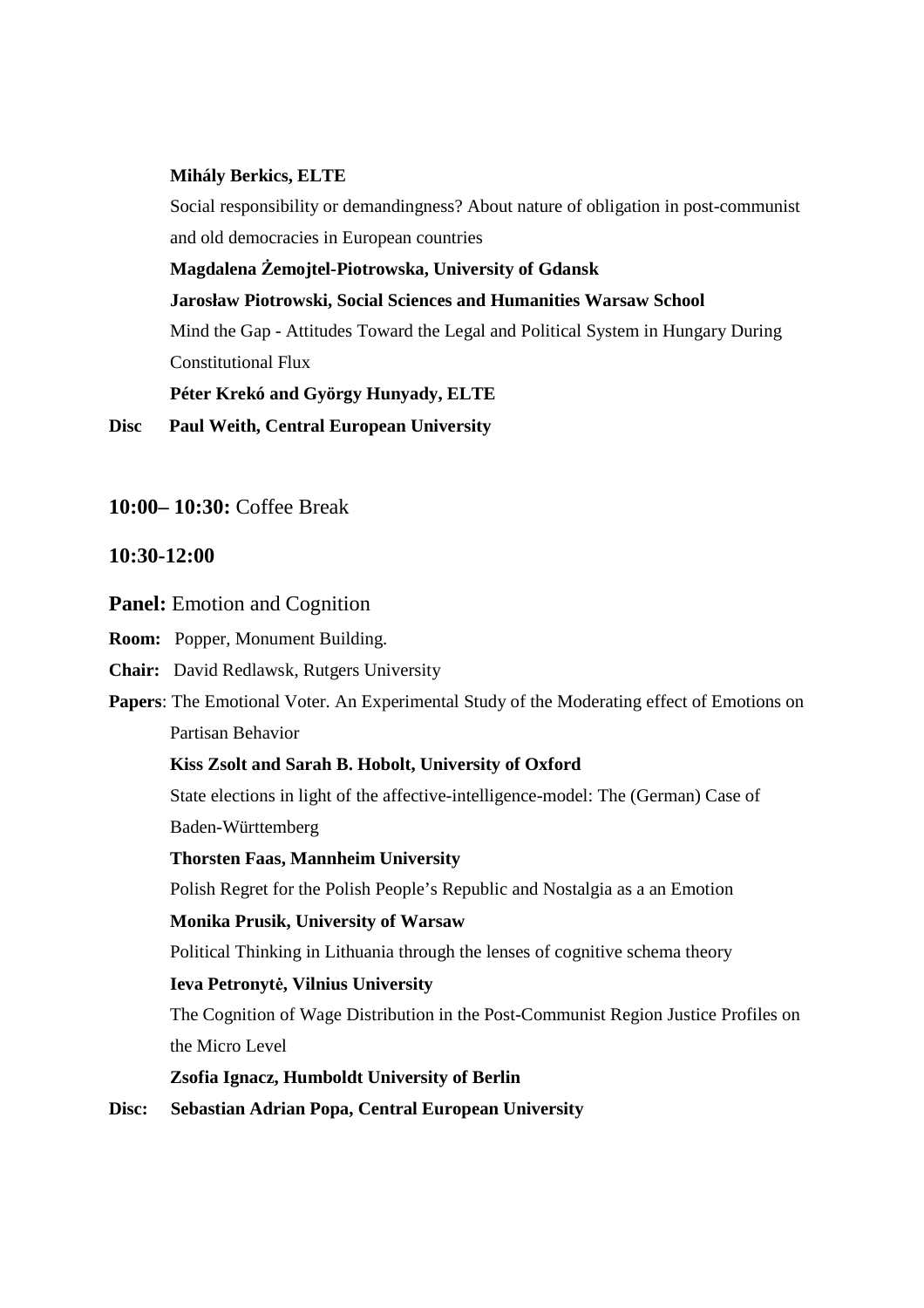# **Mihály Berkics, ELTE**

Social responsibility or demandingness? About nature of obligation in post-communist and old democracies in European countries

**Magdalena Żemojtel-Piotrowska, University of Gdansk** 

**Jarosław Piotrowski, Social Sciences and Humanities Warsaw School** 

Mind the Gap - Attitudes Toward the Legal and Political System in Hungary During Constitutional Flux

**Péter Krekó and György Hunyady, ELTE** 

**Disc Paul Weith, Central European University** 

# **10:00– 10:30:** Coffee Break

# **10:30-12:00**

**Panel:** Emotion and Cognition

**Room:** Popper, Monument Building.

**Chair:** David Redlawsk, Rutgers University

**Papers**: The Emotional Voter. An Experimental Study of the Moderating effect of Emotions on Partisan Behavior

# **Kiss Zsolt and Sarah B. Hobolt, University of Oxford**

State elections in light of the affective-intelligence-model: The (German) Case of Baden-Württemberg

# **Thorsten Faas, Mannheim University**

Polish Regret for the Polish People's Republic and Nostalgia as a an Emotion

# **Monika Prusik, University of Warsaw**

Political Thinking in Lithuania through the lenses of cognitive schema theory

# **Ieva Petronytė, Vilnius University**

The Cognition of Wage Distribution in the Post-Communist Region Justice Profiles on the Micro Level

**Zsofia Ignacz, Humboldt University of Berlin** 

# **Disc: Sebastian Adrian Popa, Central European University**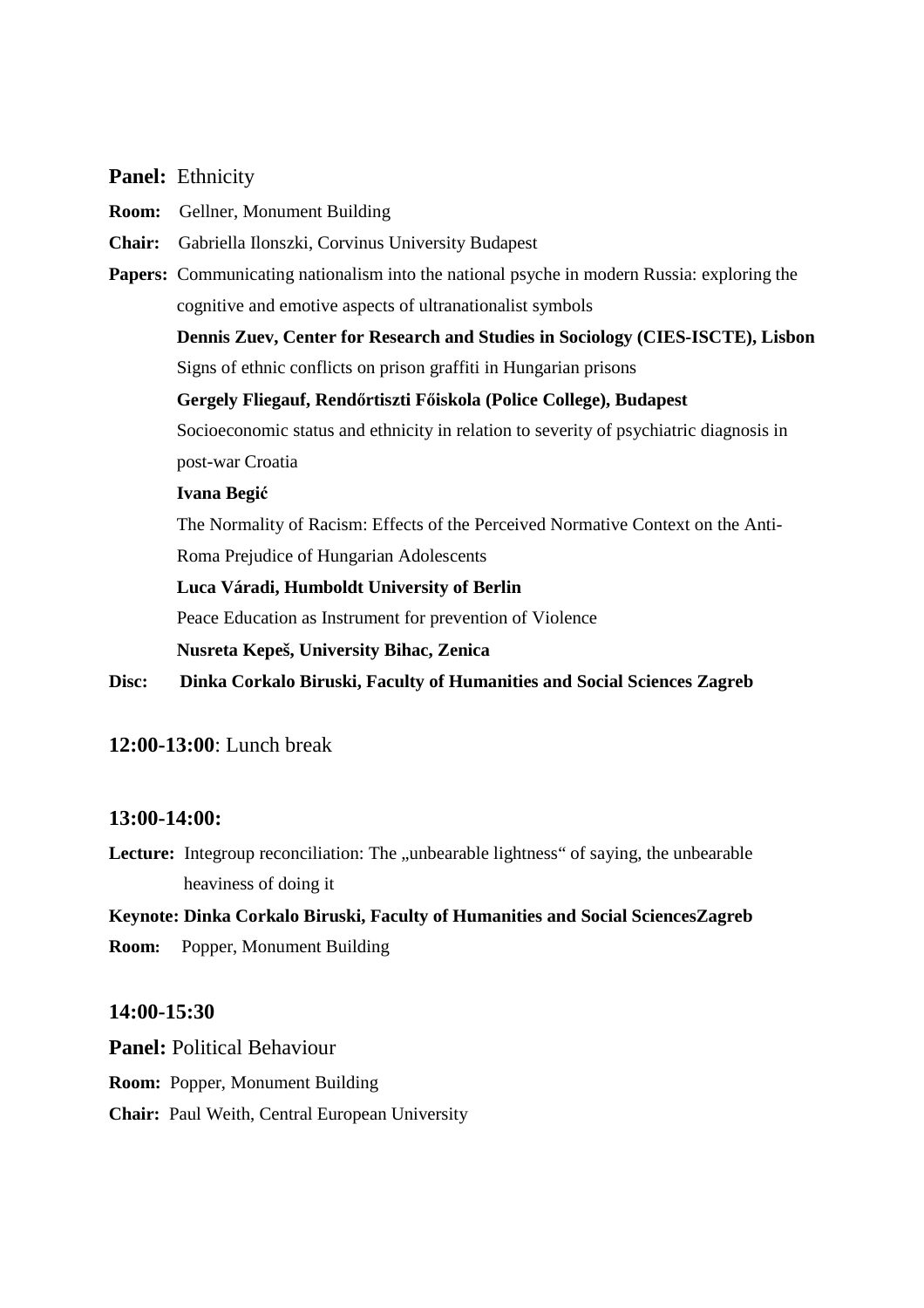Panel: Ethnicity

**Room:** Gellner, Monument Building

**Chair:** Gabriella Ilonszki, Corvinus University Budapest

**Papers:** Communicating nationalism into the national psyche in modern Russia: exploring the cognitive and emotive aspects of ultranationalist symbols **Dennis Zuev, Center for Research and Studies in Sociology (CIES-ISCTE), Lisbon**  Signs of ethnic conflicts on prison graffiti in Hungarian prisons

**Gergely Fliegauf, Rendőrtiszti Főiskola (Police College), Budapest** 

Socioeconomic status and ethnicity in relation to severity of psychiatric diagnosis in post-war Croatia

**Ivana Begić** 

The Normality of Racism: Effects of the Perceived Normative Context on the Anti-

Roma Prejudice of Hungarian Adolescents

**Luca Váradi, Humboldt University of Berlin** 

Peace Education as Instrument for prevention of Violence

**Nusreta Kepeš, University Bihac, Zenica** 

**Disc: Dinka Corkalo Biruski, Faculty of Humanities and Social Sciences Zagreb** 

# **12:00-13:00**: Lunch break

# **13:00-14:00:**

**Lecture:** Integroup reconciliation: The "unbearable lightness" of saying, the unbearable heaviness of doing it

**Keynote: Dinka Corkalo Biruski, Faculty of Humanities and Social SciencesZagreb Room:** Popper, Monument Building

# **14:00-15:30**

**Panel:** Political Behaviour

**Room:** Popper, Monument Building

**Chair:** Paul Weith, Central European University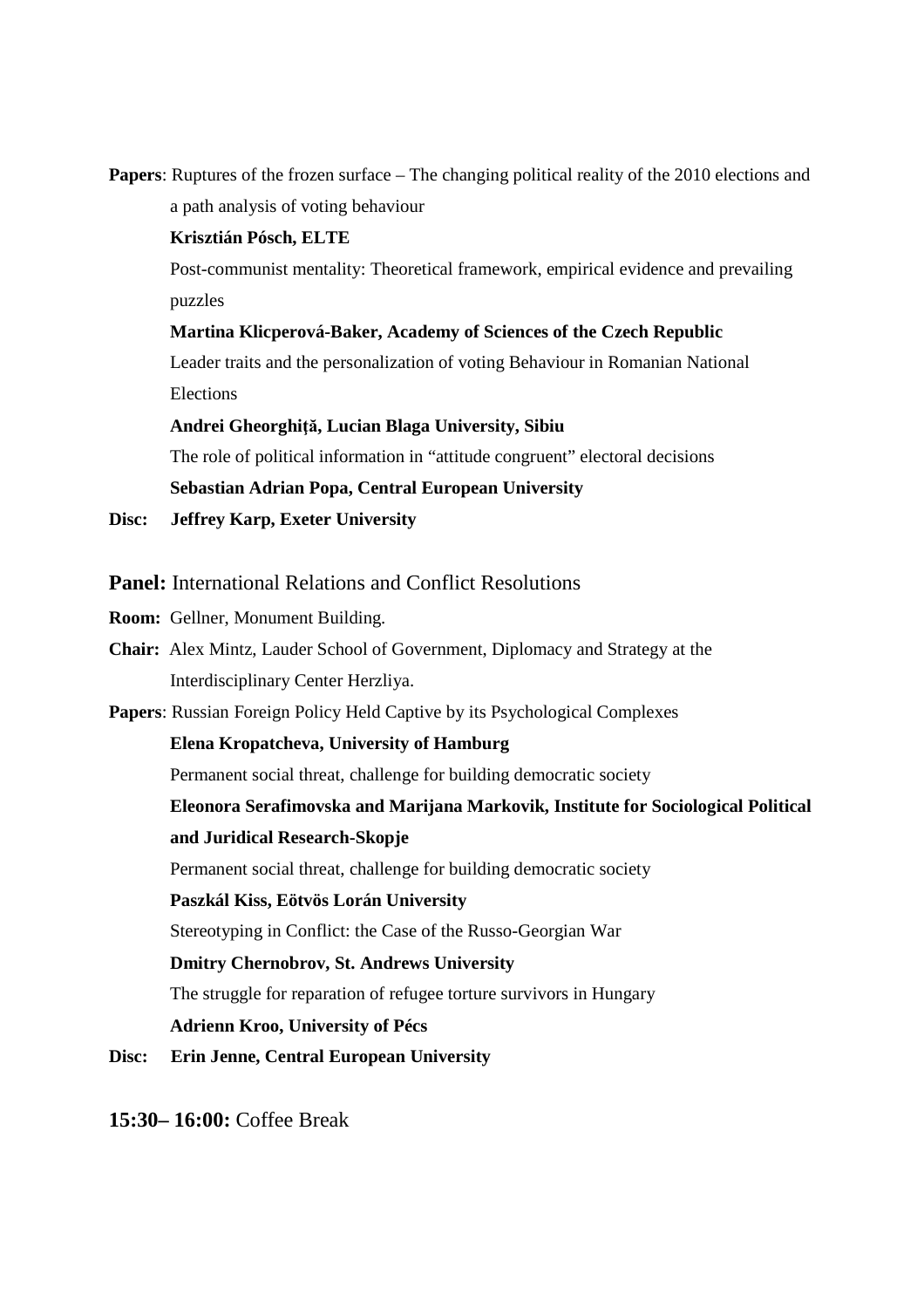**Papers:** Ruptures of the frozen surface – The changing political reality of the 2010 elections and a path analysis of voting behaviour

### **Krisztián Pósch, ELTE**

Post-communist mentality: Theoretical framework, empirical evidence and prevailing puzzles

**Martina Klicperová-Baker, Academy of Sciences of the Czech Republic** 

Leader traits and the personalization of voting Behaviour in Romanian National Elections

**Andrei Gheorghiţă, Lucian Blaga University, Sibiu**  The role of political information in "attitude congruent" electoral decisions **Sebastian Adrian Popa, Central European University** 

**Disc: Jeffrey Karp, Exeter University** 

**Panel:** International Relations and Conflict Resolutions

**Room:** Gellner, Monument Building.

**Chair:** Alex Mintz, Lauder School of Government, Diplomacy and Strategy at the Interdisciplinary Center Herzliya.

**Papers**: Russian Foreign Policy Held Captive by its Psychological Complexes

### **Elena Kropatcheva, University of Hamburg**

Permanent social threat, challenge for building democratic society

**Eleonora Serafimovska and Marijana Markovik, Institute for Sociological Political and Juridical Research-Skopje** 

Permanent social threat, challenge for building democratic society

#### **Paszkál Kiss, Eötvös Lorán University**

Stereotyping in Conflict: the Case of the Russo-Georgian War

#### **Dmitry Chernobrov, St. Andrews University**

The struggle for reparation of refugee torture survivors in Hungary

**Adrienn Kroo, University of Pécs** 

# **Disc: Erin Jenne, Central European University**

**15:30– 16:00:** Coffee Break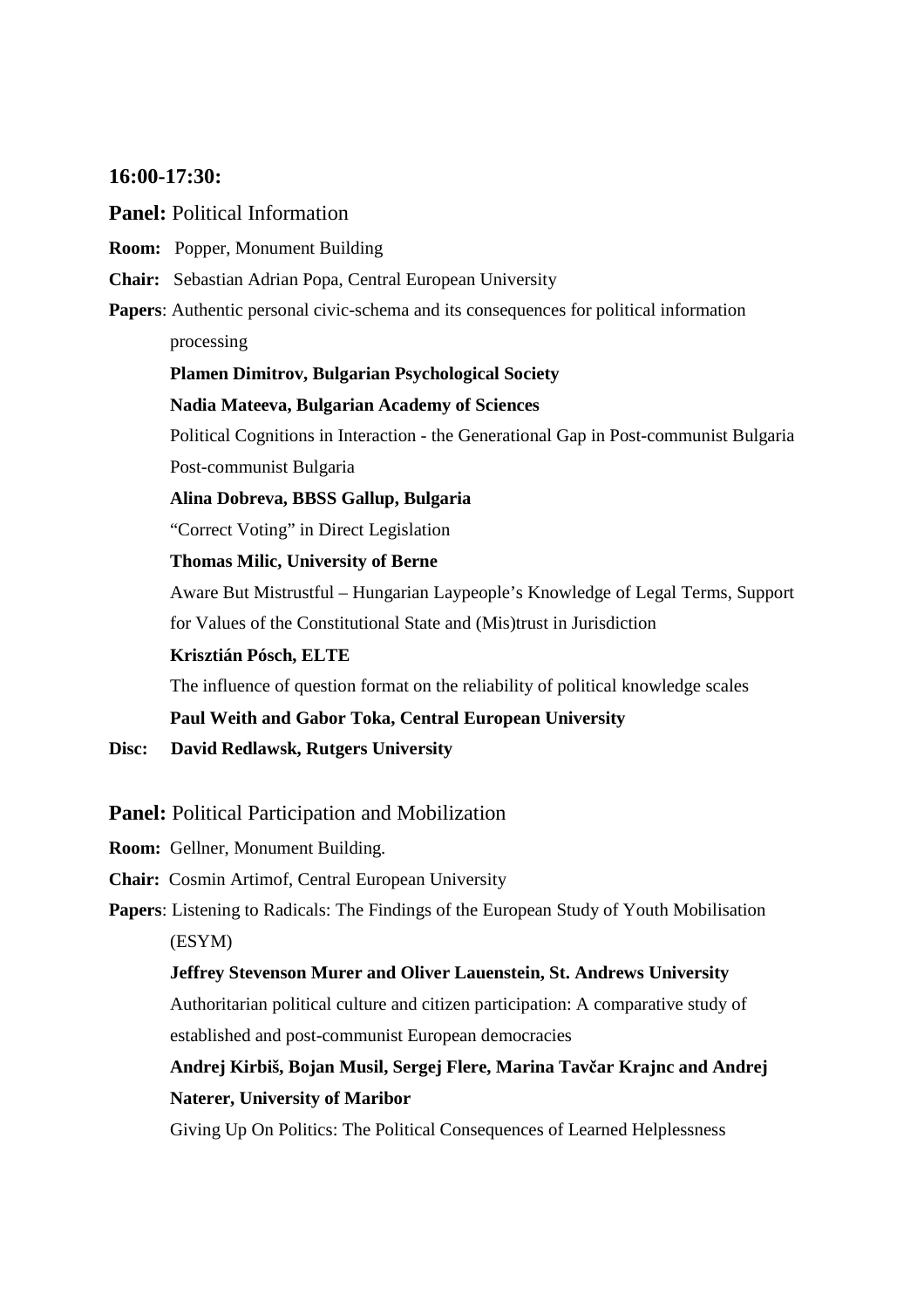# **16:00-17:30:**

**Panel:** Political Information

**Room:** Popper, Monument Building

**Chair:** Sebastian Adrian Popa, Central European University

**Papers**: Authentic personal civic-schema and its consequences for political information processing

**Plamen Dimitrov, Bulgarian Psychological Society** 

#### **Nadia Mateeva, Bulgarian Academy of Sciences**

Political Cognitions in Interaction - the Generational Gap in Post-communist Bulgaria Post-communist Bulgaria

**Alina Dobreva, BBSS Gallup, Bulgaria** 

"Correct Voting" in Direct Legislation

**Thomas Milic, University of Berne** 

Aware But Mistrustful – Hungarian Laypeople's Knowledge of Legal Terms, Support for Values of the Constitutional State and (Mis)trust in Jurisdiction

#### **Krisztián Pósch, ELTE**

The influence of question format on the reliability of political knowledge scales

**Paul Weith and Gabor Toka, Central European University** 

#### **Disc: David Redlawsk, Rutgers University**

#### Panel: Political Participation and Mobilization

**Room:** Gellner, Monument Building.

**Chair:** Cosmin Artimof, Central European University

**Papers**: Listening to Radicals: The Findings of the European Study of Youth Mobilisation (ESYM)

#### **Jeffrey Stevenson Murer and Oliver Lauenstein, St. Andrews University**

Authoritarian political culture and citizen participation: A comparative study of established and post-communist European democracies

**Andrej Kirbiš, Bojan Musil, Sergej Flere, Marina Tavčar Krajnc and Andrej Naterer, University of Maribor** 

Giving Up On Politics: The Political Consequences of Learned Helplessness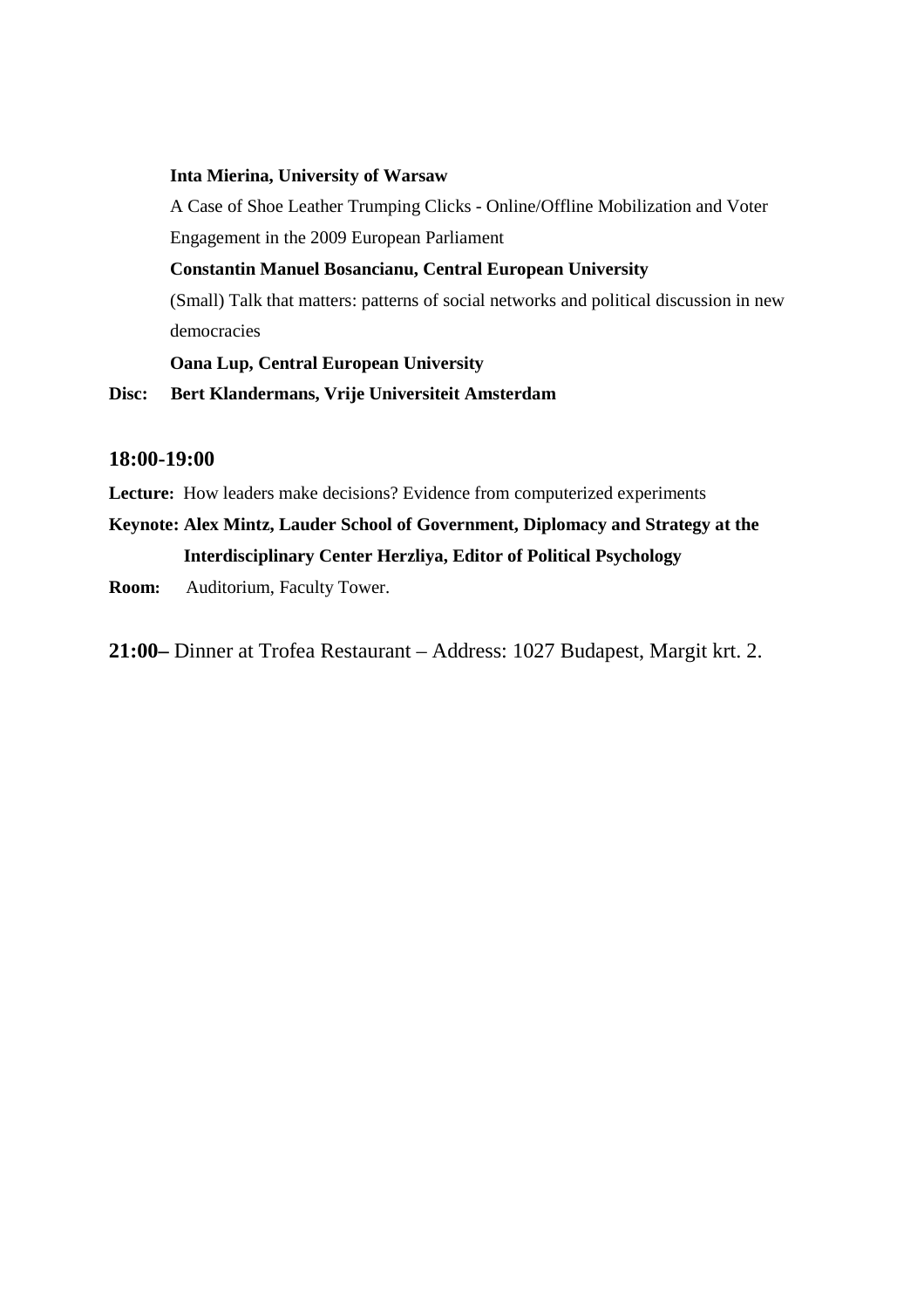#### **Inta Mierina, University of Warsaw**

A Case of Shoe Leather Trumping Clicks - Online/Offline Mobilization and Voter Engagement in the 2009 European Parliament **Constantin Manuel Bosancianu, Central European University**  (Small) Talk that matters: patterns of social networks and political discussion in new

democracies

**Oana Lup, Central European University** 

**Disc: Bert Klandermans, Vrije Universiteit Amsterdam** 

# **18:00-19:00**

**Lecture:** How leaders make decisions? Evidence from computerized experiments

- **Keynote: Alex Mintz, Lauder School of Government, Diplomacy and Strategy at the Interdisciplinary Center Herzliya, Editor of Political Psychology**
- **Room:** Auditorium, Faculty Tower.

**21:00–** Dinner at Trofea Restaurant – Address: 1027 Budapest, Margit krt. 2.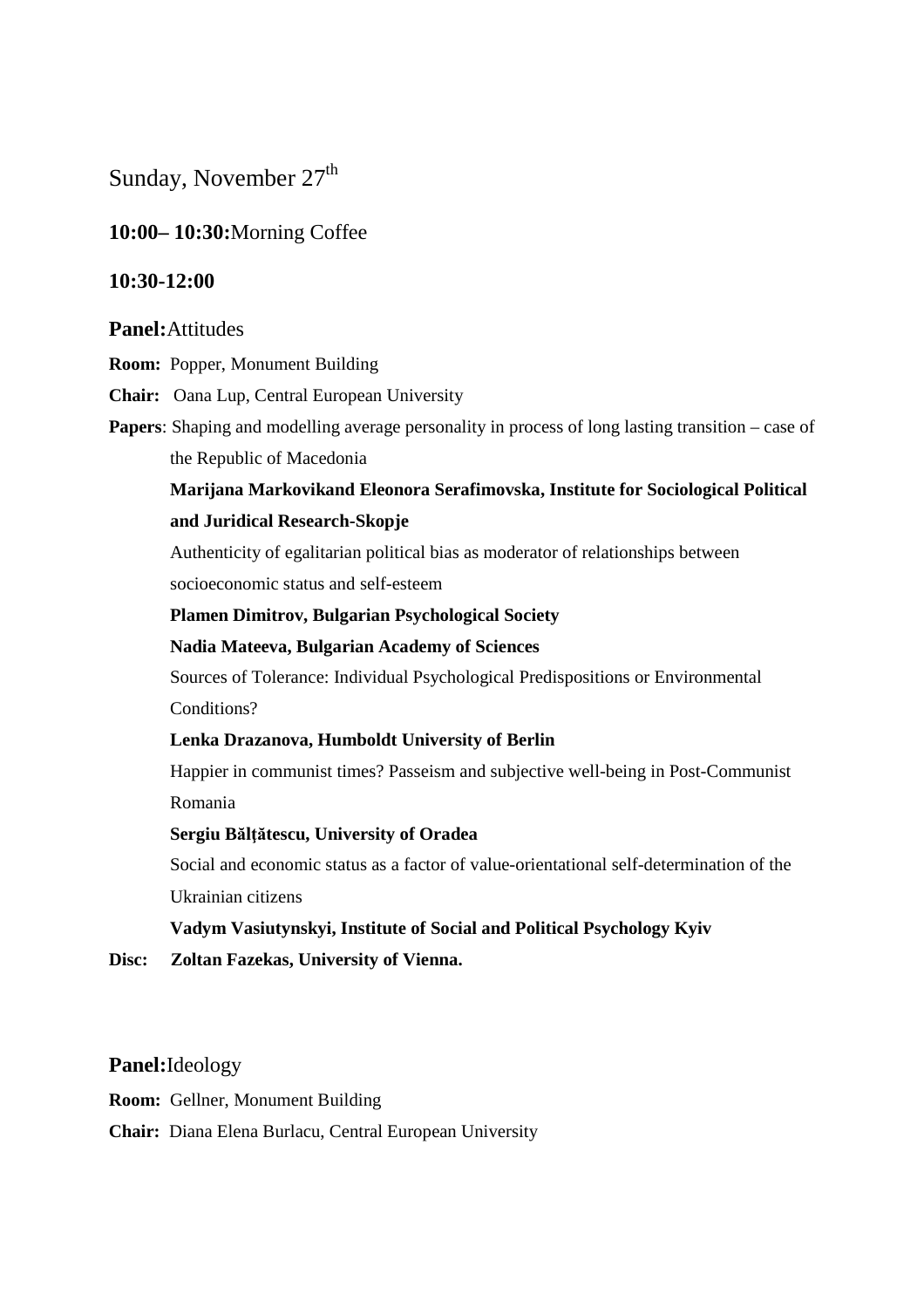Sunday, November 27<sup>th</sup>

# **10:00– 10:30:**Morning Coffee

# **10:30-12:00**

# **Panel:**Attitudes

**Room:** Popper, Monument Building

**Chair:** Oana Lup, Central European University

**Papers**: Shaping and modelling average personality in process of long lasting transition – case of the Republic of Macedonia

**Marijana Markovikand Eleonora Serafimovska, Institute for Sociological Political and Juridical Research-Skopje** 

Authenticity of egalitarian political bias as moderator of relationships between socioeconomic status and self-esteem

# **Plamen Dimitrov, Bulgarian Psychological Society**

#### **Nadia Mateeva, Bulgarian Academy of Sciences**

Sources of Tolerance: Individual Psychological Predispositions or Environmental Conditions?

# **Lenka Drazanova, Humboldt University of Berlin**

Happier in communist times? Passeism and subjective well-being in Post-Communist Romania

#### **Sergiu Bălţătescu, University of Oradea**

Social and economic status as a factor of value-orientational self-determination of the Ukrainian citizens

# **Vadym Vasiutynskyi, Institute of Social and Political Psychology Kyiv**

# **Disc: Zoltan Fazekas, University of Vienna.**

**Panel:**Ideology

**Room:** Gellner, Monument Building

**Chair:** Diana Elena Burlacu, Central European University